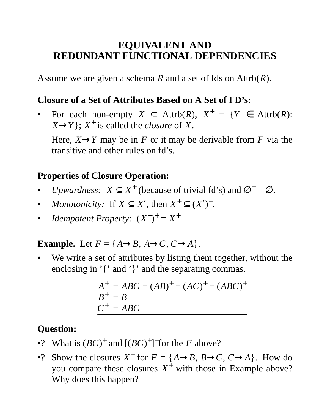# **EQUIVALENT AND REDUNDANT FUNCTIONAL DEPENDENCIES**

Assume we are given a schema *R* and a set of fds on  $\text{Attrb}(R)$ .

### **Closure of a Set of Attributes Based on A Set of FD's:**

• For each non-empty  $X \subset \text{Attrb}(R)$ ,  $X^+ = \{Y \in \text{Attrb}(R) :$  $(X \rightarrow Y)$ ;  $X^+$  is called the *closure* of *X*.

Here,  $X \rightarrow Y$  may be in *F* or it may be derivable from *F* via the transitive and other rules on fd's.

# **Properties of Closure Operation:**

- *Upwardness:*  $X \subseteq X^+$  (because of trivial fd's) and  $\varnothing^+ = \varnothing$ .
- *Monotonicity:* If  $X \subseteq X'$ , then  $X^+ \subseteq (X')^+$ .
- *Idempotent Property:*  $(X^+)^+ = X^+$ .

**Example.** Let  $F = \{A \rightarrow B, A \rightarrow C, C \rightarrow A\}$ .

We write a set of attributes by listing them together, without the enclosing in '{' and '}' and the separating commas.

> $A^+ = ABC = (AB)^+ = (AC)^+ = (ABC)^+$  $B^+ = B$  $C^+ = ABC$

# **Question:**

- •? What is  $(BC)^+$  and  $[(BC)^+$ <sup>+</sup> for the *F* above?
- •? Show the closures  $X^+$  for  $F = \{A \rightarrow B, B \rightarrow C, C \rightarrow A\}$ . How do you compare these closures  $X^+$  with those in Example above? Why does this happen?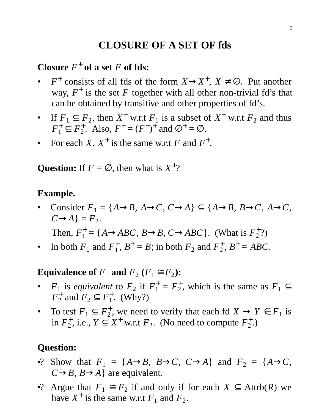# **CLOSURE OF A SET OF fds**

# **Closure**  $F^+$  of a set  $F$  of fds:

- $F^+$  consists of all fds of the form  $X \to X^+$ ,  $X \neq \emptyset$ . Put another way,  $F^+$  is the set  $F$  together with all other non-trivial fd's that can be obtained by transitive and other properties of fd's.
- If  $F_1 \subseteq F_2$ , then  $X^+$  w.r.t  $F_1$  is a subset of  $X^+$  w.r.t  $F_2$  and thus  $F_1^+ \subseteq F_2^+$ <sup>+</sup><sub>2</sub>. Also,  $F^+ = (F^+)^+$  and  $\varnothing^+ = \varnothing$ .
- For each  $X$ ,  $X^+$  is the same w.r.t  $F$  and  $F^+$ .

**Question:** If  $F = \emptyset$ , then what is  $X^+$ ?

#### **Example.**

Consider  $F_1 = \{A \rightarrow B, A \rightarrow C, C \rightarrow A\} \subseteq \{A \rightarrow B, B \rightarrow C, A \rightarrow C, A \rightarrow C\}$  $C \rightarrow A$ } =  $F_2$ .

Then,  $F_1^+ = \{A \rightarrow ABC, B \rightarrow B, C \rightarrow ABC\}$ . (What is  $F_2^+$  $_{2}^{+2}$ 

• In both  $F_1$  and  $F_1^+$  $_1^+$ ,  $B^+ = B$ ; in both  $F_2$  and  $F_2^+$  $_{2}^{+}, B^{+} = ABC.$ 

**Equivalence of**  $F_1$  and  $F_2$   $(F_1 \cong F_2)$ :

- $F_1$  is *equivalent* to  $F_2$  if  $F_1^+ = F_2^+$  $_2^+$ , which is the same as  $F_1 \subseteq$  $\overline{F}_2^+$  $\frac{1}{2}$  and  $F_2 \subseteq F_1^+$  $_1^+$ . (Why?)
- To test  $F_1 \subseteq F_2^+$  $Z_2^+$ , we need to verify that each fd  $X \to Y \in F_1$  is in  $F_2^+$ <sup>+</sup><sub>2</sub>, i.e.,  $Y \subseteq X^+$  w.r.t  $F_2$ . (No need to compute  $F_2^+$  $_{2}^{+}$ .)

### **Question:**

- •? Show that  $F_1 = \{A \rightarrow B, B \rightarrow C, C \rightarrow A\}$  and  $F_2 = \{A \rightarrow C, C \rightarrow A\}$  $C \rightarrow B$ ,  $B \rightarrow A$ } are equivalent.
- •? Argue that  $F_1 \cong F_2$  if and only if for each  $X \subseteq \text{Attrb}(R)$  we have  $X^+$  is the same w.r.t  $F_1$  and  $F_2$ .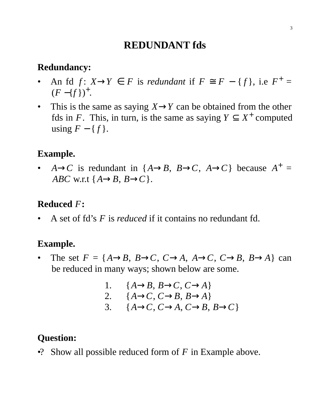## **REDUNDANT fds**

#### **Redundancy:**

- An fd  $f: X \rightarrow Y \in F$  is *redundant* if  $F \cong F \{f\}$ , i.e  $F^+ =$  $(F - \{f\})^+$ .
- This is the same as saying  $X \rightarrow Y$  can be obtained from the other fds in *F*. This, in turn, is the same as saying  $Y \subseteq X^+$  computed using  $F - \{f\}$ .

## **Example.**

•  $A \rightarrow C$  is redundant in  $\{A \rightarrow B, B \rightarrow C, A \rightarrow C\}$  because  $A^+$  = *ABC* w.r.t {*A*→*B*, *B*→*C*}.

## **Reduced** *F***:**

• A set of fd's *F* is *reduced* if it contains no redundant fd.

### **Example.**

- The set  $F = \{A \rightarrow B, B \rightarrow C, C \rightarrow A, A \rightarrow C, C \rightarrow B, B \rightarrow A\}$  can be reduced in many ways; shown below are some.
	- 1.  ${A \rightarrow B, B \rightarrow C, C \rightarrow A}$ 2. { $A \rightarrow C$ ,  $C \rightarrow B$ ,  $B \rightarrow A$ } 3.  ${A \rightarrow C, C \rightarrow A, C \rightarrow B, B \rightarrow C}$

## **Question:**

•? Show all possible reduced form of *F* in Example above.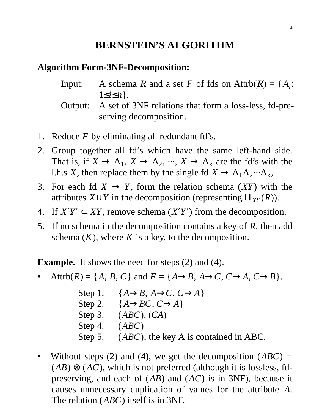# **BERNSTEIN'S ALGORITHM**

#### **Algorithm Form-3NF-Decomposition:**

- Input: A schema *R* and a set *F* of fds on Attrb $(R) = \{A_i:$ 1≤*i*≤*n*}.
- Output: A set of 3NF relations that form a loss-less, fd-preserving decomposition.
- 1. Reduce *F* by eliminating all redundant fd's.
- 2. Group together all fd's which have the same left-hand side. That is, if  $X \to A_1$ ,  $X \to A_2$ ,  $\dots$ ,  $X \to A_k$  are the fd's with the l.h.s *X*, then replace them by the single fd  $X \to A_1 A_2 \cdots A_k$ ,
- 3. For each fd  $X \to Y$ , form the relation schema  $(XY)$  with the attributes  $X \cup Y$  in the decomposition (representing  $\Pi_{XY}(R)$ ).
- 4. If  $X'Y' \subset XY$ , remove schema  $(X'Y')$  from the decomposition.
- 5. If no schema in the decomposition contains a key of *R*, then add schema  $(K)$ , where  $K$  is a key, to the decomposition.

**Example.** It shows the need for steps (2) and (4).

- Attrb $(R) = \{A, B, C\}$  and  $F = \{A \rightarrow B, A \rightarrow C, C \rightarrow A, C \rightarrow B\}.$ 
	- Step 1. { $A \rightarrow B$ ,  $A \rightarrow C$ ,  $C \rightarrow A$ } Step 2. { $A \rightarrow BC$ ,  $C \rightarrow A$ } Step 3. (*ABC*), (*CA*) Step 4. (*ABC*) Step 5. (*ABC*); the key A is contained in ABC.
- Without steps (2) and (4), we get the decomposition  $(ABC)$  =  $(AB) \otimes (AC)$ , which is not preferred (although it is lossless, fdpreserving, and each of (*AB*) and (*AC*) is in 3NF), because it causes unnecessary duplication of values for the attribute *A*. The relation (*ABC*) itself is in 3NF.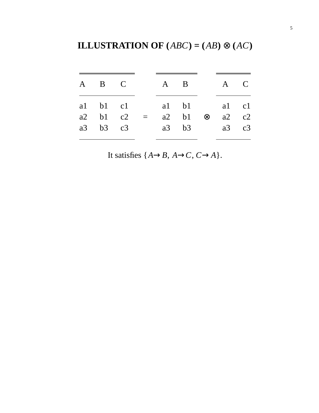**ILLUSTRATION OF**  $(ABC) = (AB) \otimes (AC)$ 

| A B C        |                                              | A B A C |               |           |               |  |
|--------------|----------------------------------------------|---------|---------------|-----------|---------------|--|
| $a2$ b1 $c2$ | al bl cl al bl al cl<br>a3 b3 c3 a3 b3 a3 c3 |         | $a2 \quad b1$ | $\otimes$ | $a2 \quad c2$ |  |
|              |                                              |         |               |           |               |  |

It satisfies  $\{A \rightarrow B, A \rightarrow C, C \rightarrow A\}$ .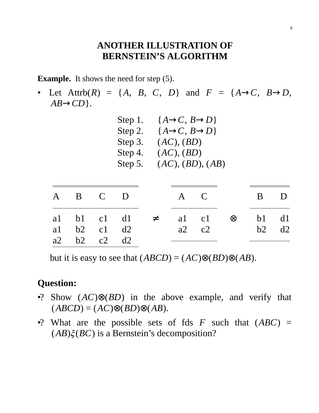#### **ANOTHER ILLUSTRATION OF BERNSTEIN'S ALGORITHM**

**Example.** It shows the need for step  $(5)$ .

• Let Attrb $(R) = \{A, B, C, D\}$  and  $F = \{A \rightarrow C, B \rightarrow D, A \}$  $AB \rightarrow CD$ .

| Step 1. | $\{A\rightarrow C, B\rightarrow D\}$ |
|---------|--------------------------------------|
| Step 2. | $\{A\rightarrow C, B\rightarrow D\}$ |
| Step 3. | (AC), (BD)                           |
| Step 4. | (AC), (BD)                           |
| Step 5. | (AC), (BD), (AB)                     |
|         |                                      |

| A B C D                |  | A C |                                                                    | B D |  |
|------------------------|--|-----|--------------------------------------------------------------------|-----|--|
| al $b2$ cl d2          |  |     | al bl cl dl $\neq$ al cl $\otimes$ bl dl<br>$a2 \t c2 \t b2 \t d2$ |     |  |
| $a2 \t b2 \t c2 \t d2$ |  |     |                                                                    |     |  |

but it is easy to see that  $(ABCD) = (AC) \otimes (BD) \otimes (AB)$ .

# **Question:**

- •? Show (*AC*)⊗(*BD*) in the above example, and verify that  $(ABCD) = (AC) \otimes (BD) \otimes (AB).$
- •? What are the possible sets of fds  $F$  such that  $(ABC)$  =  $(AB)\xi(BC)$  is a Bernstein's decomposition?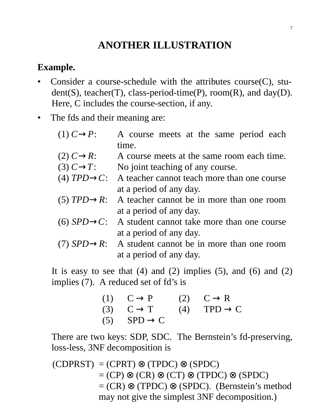# **ANOTHER ILLUSTRATION**

## **Example.**

- Consider a course-schedule with the attributes course $(C)$ , stu $dent(S)$ , teacher(T), class-period-time(P), room(R), and day(D). Here, C includes the course-section, if any.
- The fds and their meaning are:
	- (1)  $C \rightarrow P$ : A course meets at the same period each time.
	- (2)  $C \rightarrow R$ : A course meets at the same room each time.
	- (3)  $C \rightarrow T$ : No joint teaching of any course.
	- (4)  $TPD \rightarrow C$ : A teacher cannot teach more than one course at a period of any day.
	- (5)  $TPD \rightarrow R$ : A teacher cannot be in more than one room at a period of any day.
	- (6)  $SPD \rightarrow C$ : A student cannot take more than one course at a period of any day.
	- (7)  $SPD \rightarrow R$ : A student cannot be in more than one room at a period of any day.

It is easy to see that  $(4)$  and  $(2)$  implies  $(5)$ , and  $(6)$  and  $(2)$ implies (7). A reduced set of fd's is

| $(1)$ $C \rightarrow P$                       | $(2)$ $C \rightarrow R$ |
|-----------------------------------------------|-------------------------|
| (3) $C \rightarrow T$ (4) TPD $\rightarrow C$ |                         |
| $(5)$ SPD $\rightarrow$ C                     |                         |

There are two keys: SDP, SDC. The Bernstein's fd-preserving, loss-less, 3NF decomposition is

 $(CDPRST) = (CPRT) \otimes (TPDC) \otimes (SPDC)$  $=(CP) \otimes (CR) \otimes (CT) \otimes (TPDC) \otimes (SPDC)$  $= (CR) \otimes (TPDC) \otimes (SPDC)$ . (Bernstein's method may not give the simplest 3NF decomposition.)